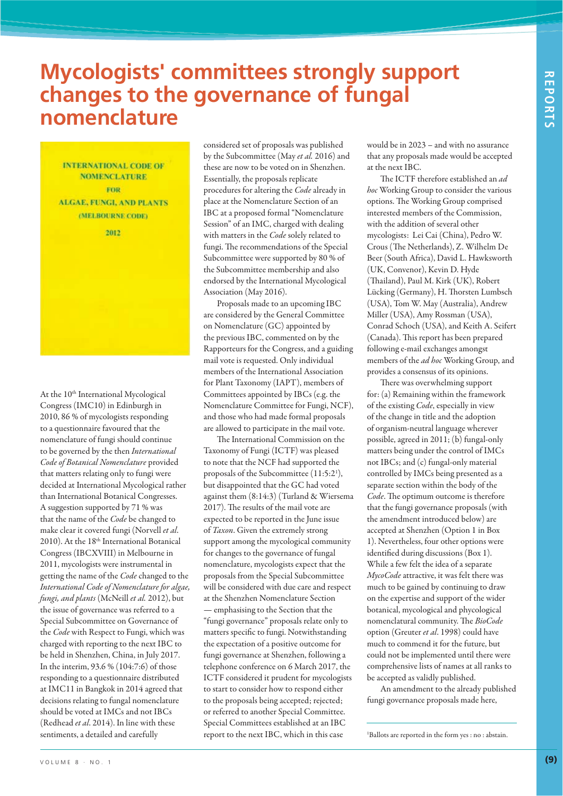## **Mycologists' committees strongly support changes to the governance of fungal nomenclature**

**INTERNATIONAL CODE OF NOMENCLATURE** FOR **ALGAE, FUNGI, AND PLANTS** (MELBOURNE CODE)

2012

At the 10<sup>th</sup> International Mycological Congress (IMC10) in Edinburgh in 2010, 86 % of mycologists responding to a questionnaire favoured that the nomenclature of fungi should continue to be governed by the then *International Code of Botanical Nomenclature* provided that matters relating only to fungi were decided at International Mycological rather than International Botanical Congresses. A suggestion supported by 71 % was that the name of the *Code* be changed to make clear it covered fungi (Norvell *et al*. 2010). At the 18<sup>th</sup> International Botanical Congress (IBCXVIII) in Melbourne in 2011, mycologists were instrumental in getting the name of the *Code* changed to the *International Code of Nomenclature for algae, fungi, and plants* (McNeill *et al.* 2012), but the issue of governance was referred to a Special Subcommittee on Governance of the *Code* with Respect to Fungi, which was charged with reporting to the next IBC to be held in Shenzhen, China, in July 2017. In the interim, 93.6 % (104:7:6) of those responding to a questionnaire distributed at IMC11 in Bangkok in 2014 agreed that decisions relating to fungal nomenclature should be voted at IMCs and not IBCs (Redhead *et al*. 2014). In line with these sentiments, a detailed and carefully

considered set of proposals was published by the Subcommittee (May *et al.* 2016) and these are now to be voted on in Shenzhen. Essentially, the proposals replicate procedures for altering the *Code* already in place at the Nomenclature Section of an IBC at a proposed formal "Nomenclature Session" of an IMC, charged with dealing with matters in the *Code* solely related to fungi. The recommendations of the Special Subcommittee were supported by 80 % of the Subcommittee membership and also endorsed by the International Mycological Association (May 2016).

Proposals made to an upcoming IBC are considered by the General Committee on Nomenclature (GC) appointed by the previous IBC, commented on by the Rapporteurs for the Congress, and a guiding mail vote is requested. Only individual members of the International Association for Plant Taxonomy (IAPT), members of Committees appointed by IBCs (e.g. the Nomenclature Committee for Fungi, NCF), and those who had made formal proposals are allowed to participate in the mail vote.

The International Commission on the Taxonomy of Fungi (ICTF) was pleased to note that the NCF had supported the proposals of the Subcommittee (11:5:21 ), but disappointed that the GC had voted against them (8:14:3) (Turland & Wiersema 2017). The results of the mail vote are expected to be reported in the June issue of *Taxon*. Given the extremely strong support among the mycological community for changes to the governance of fungal nomenclature, mycologists expect that the proposals from the Special Subcommittee will be considered with due care and respect at the Shenzhen Nomenclature Section — emphasising to the Section that the "fungi governance" proposals relate only to matters specific to fungi. Notwithstanding the expectation of a positive outcome for fungi governance at Shenzhen, following a telephone conference on 6 March 2017, the ICTF considered it prudent for mycologists to start to consider how to respond either to the proposals being accepted; rejected; or referred to another Special Committee. Special Committees established at an IBC report to the next IBC, which in this case

would be in 2023 – and with no assurance that any proposals made would be accepted at the next IBC.

The ICTF therefore established an *ad hoc* Working Group to consider the various options. The Working Group comprised interested members of the Commission, with the addition of several other mycologists: Lei Cai (China), Pedro W. Crous (The Netherlands), Z. Wilhelm De Beer (South Africa), David L. Hawksworth (UK, Convenor), Kevin D. Hyde (Thailand), Paul M. Kirk (UK), Robert Lücking (Germany), H. Thorsten Lumbsch (USA), Tom W. May (Australia), Andrew Miller (USA), Amy Rossman (USA), Conrad Schoch (USA), and Keith A. Seifert (Canada). This report has been prepared following e-mail exchanges amongst members of the *ad hoc* Working Group, and provides a consensus of its opinions.

There was overwhelming support for: (a) Remaining within the framework of the existing *Code*, especially in view of the change in title and the adoption of organism-neutral language wherever possible, agreed in 2011; (b) fungal-only matters being under the control of IMCs not IBCs; and (c) fungal-only material controlled by IMCs being presented as a separate section within the body of the *Code*. The optimum outcome is therefore that the fungi governance proposals (with the amendment introduced below) are accepted at Shenzhen (Option 1 in Box 1). Nevertheless, four other options were identified during discussions (Box 1). While a few felt the idea of a separate *MycoCode* attractive, it was felt there was much to be gained by continuing to draw on the expertise and support of the wider botanical, mycological and phycological nomenclatural community. The *BioCode* option (Greuter *et al*. 1998) could have much to commend it for the future, but could not be implemented until there were comprehensive lists of names at all ranks to be accepted as validly published.

An amendment to the already published fungi governance proposals made here,

1 Ballots are reported in the form yes : no : abstain.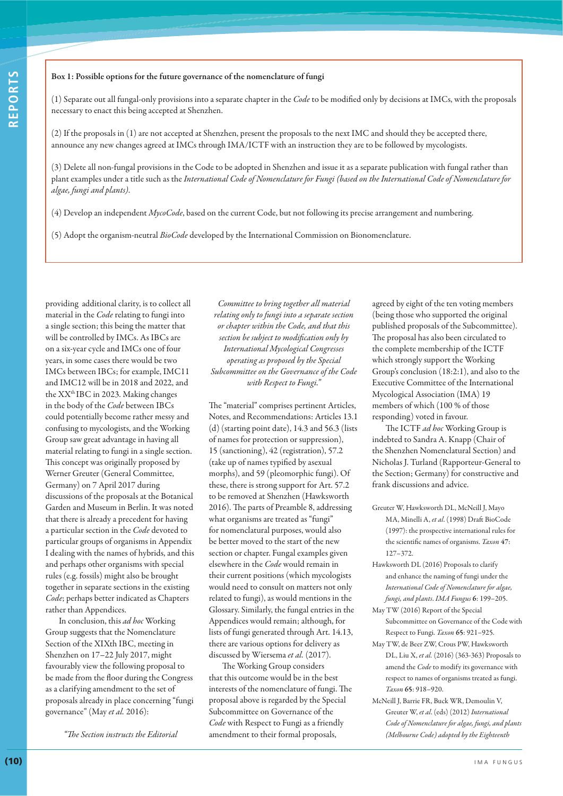#### **Box 1: Possible options for the future governance of the nomenclature of fungi**

(1) Separate out all fungal-only provisions into a separate chapter in the *Code* to be modified only by decisions at IMCs, with the proposals necessary to enact this being accepted at Shenzhen.

(2) If the proposals in (1) are not accepted at Shenzhen, present the proposals to the next IMC and should they be accepted there, announce any new changes agreed at IMCs through IMA/ICTF with an instruction they are to be followed by mycologists.

(3) Delete all non-fungal provisions in the Code to be adopted in Shenzhen and issue it as a separate publication with fungal rather than plant examples under a title such as the *International Code of Nomenclature for Fungi (based on the International Code of Nomenclature for algae, fungi and plants)*.

(4) Develop an independent *MycoCode*, based on the current Code, but not following its precise arrangement and numbering.

(5) Adopt the organism-neutral *BioCode* developed by the International Commission on Bionomenclature.

providing additional clarity, is to collect all material in the *Code* relating to fungi into a single section; this being the matter that will be controlled by IMCs. As IBCs are on a six-year cycle and IMCs one of four years, in some cases there would be two IMCs between IBCs; for example, IMC11 and IMC12 will be in 2018 and 2022, and the XX<sup>th</sup> IBC in 2023. Making changes in the body of the *Code* between IBCs could potentially become rather messy and confusing to mycologists, and the Working Group saw great advantage in having all material relating to fungi in a single section. This concept was originally proposed by Werner Greuter (General Committee, Germany) on 7 April 2017 during discussions of the proposals at the Botanical Garden and Museum in Berlin. It was noted that there is already a precedent for having a particular section in the *Code* devoted to particular groups of organisms in Appendix I dealing with the names of hybrids, and this and perhaps other organisms with special rules (e.g. fossils) might also be brought together in separate sections in the existing *Code*; perhaps better indicated as Chapters rather than Appendices.

In conclusion, this *ad hoc* Working Group suggests that the Nomenclature Section of the XIXth IBC, meeting in Shenzhen on 17–22 July 2017, might favourably view the following proposal to be made from the floor during the Congress as a clarifying amendment to the set of proposals already in place concerning "fungi governance" (May *et al.* 2016):

*"The Section instructs the Editorial* 

*Committee to bring together all material relating only to fungi into a separate section or chapter within the Code, and that this section be subject to modification only by International Mycological Congresses operating as proposed by the Special Subcommittee on the Governance of the Code with Respect to Fungi."*

The "material" comprises pertinent Articles, Notes, and Recommendations: Articles 13.1 (d) (starting point date), 14.3 and 56.3 (lists of names for protection or suppression), 15 (sanctioning), 42 (registration), 57.2 (take up of names typified by asexual morphs), and 59 (pleomorphic fungi). Of these, there is strong support for Art. 57.2 to be removed at Shenzhen (Hawksworth 2016). The parts of Preamble 8, addressing what organisms are treated as "fungi" for nomenclatural purposes, would also be better moved to the start of the new section or chapter. Fungal examples given elsewhere in the *Code* would remain in their current positions (which mycologists would need to consult on matters not only related to fungi), as would mentions in the Glossary. Similarly, the fungal entries in the Appendices would remain; although, for lists of fungi generated through Art. 14.13, there are various options for delivery as discussed by Wiersema *et al.* (2017).

The Working Group considers that this outcome would be in the best interests of the nomenclature of fungi. The proposal above is regarded by the Special Subcommittee on Governance of the *Code* with Respect to Fungi as a friendly amendment to their formal proposals,

agreed by eight of the ten voting members (being those who supported the original published proposals of the Subcommittee). The proposal has also been circulated to the complete membership of the ICTF which strongly support the Working Group's conclusion (18:2:1), and also to the Executive Committee of the International Mycological Association (IMA) 19 members of which (100 % of those responding) voted in favour.

The ICTF *ad hoc* Working Group is indebted to Sandra A. Knapp (Chair of the Shenzhen Nomenclatural Section) and Nicholas J. Turland (Rapporteur-General to the Section; Germany) for constructive and frank discussions and advice.

- Greuter W, Hawksworth DL, McNeill J, Mayo MA, Minelli A, *et al*. (1998) Draft BioCode (1997): the prospective international rules for the scientific names of organisms. *Taxon* **47**: 127–372.
- Hawksworth DL (2016) Proposals to clarify and enhance the naming of fungi under the *International Code of Nomenclature for algae, fungi, and plants*. *IMA Fungus* **6**: 199–205.
- May TW (2016) Report of the Special Subcommittee on Governance of the Code with Respect to Fungi. *Taxon* **65**: 921–925.
- May TW, de Beer ZW, Crous PW, Hawksworth DL, Liu X, *et al.* (2016) (363-363) Proposals to amend the *Code* to modify its governance with respect to names of organisms treated as fungi. *Taxon* **65**: 918–920.
- McNeill J, Barrie FR, Buck WR, Demoulin V, Greuter W, *et al*. (eds) (2012) *International Code of Nomenclature for algae, fungi, and plants (Melbourne Code) adopted by the Eighteenth*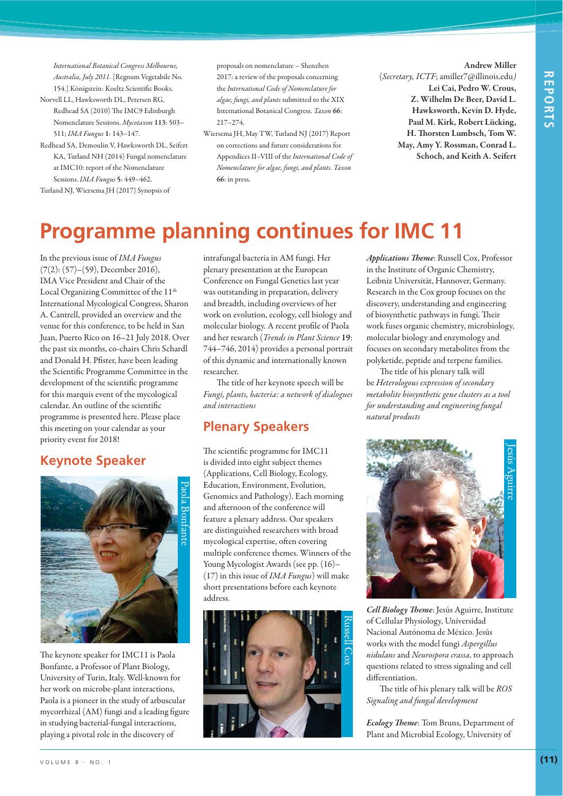*International Botanical Congress Melbourne, Australia, July 2011*. [Regnum Vegetabile No. 154.] Königstein: Koeltz Scientific Books.

- Norvell LL, Hawksworth DL, Petersen RG, Redhead SA (2010) The IMC9 Edinburgh Nomenclature Sessions. *Mycotaxon* **113**: 503– 511; *IMA Fungus* **1**: 143–147.
- Redhead SA, Demoulin V, Hawksworth DL, Seifert KA, Turland NH (2014) Fungal nomenclature at IMC10: report of the Nomenclature Sessions. *IMA Fungus* **5**: 449–462.

Turland NJ, Wiersema JH (2017) Synopsis of

proposals on nomenclature – Shenzhen 2017: a review of the proposals concerning the *International Code of Nomenclature for algae, fungi, and plants* submitted to the XIX International Botanical Congress. *Taxon* **66**: 217–274.

Wiersema JH, May TW, Turland NJ (2017) Report on corrections and future considerations for Appendices II–VIII of the *International Code of Nomenclature for algae, fungi, and plants*. *Taxon* **66**: in press.

**Andrew Miller** (*Secretary, ICTF*; amiller7@illinois.edu*)* **Lei Cai, Pedro W. Crous, Z. Wilhelm De Beer, David L. Hawksworth, Kevin D. Hyde, Paul M. Kirk, Robert Lücking, H. Thorsten Lumbsch, Tom W. May, Amy Y. Rossman, Conrad L. Schoch, and Keith A. Seifert**

## **Programme planning continues for IMC 11**

In the previous issue of *IMA Fungus* (**7**(2): (57)–(59), December 2016), IMA Vice President and Chair of the Local Organizing Committee of the 11<sup>th</sup> International Mycological Congress, Sharon A. Cantrell, provided an overview and the venue for this conference, to be held in San Juan, Puerto Rico on 16–21 July 2018. Over the past six months, co-chairs Chris Schardl and Donald H. Pfister, have been leading the Scientific Programme Committee in the development of the scientific programme for this marquis event of the mycological calendar. An outline of the scientific programme is presented here. Please place this meeting on your calendar as your priority event for 2018!

### **Keynote Speaker**



The keynote speaker for IMC11 is Paola Bonfante, a Professor of Plant Biology, University of Turin, Italy. Well-known for her work on microbe-plant interactions, Paola is a pioneer in the study of arbuscular mycorrhizal (AM) fungi and a leading figure in studying bacterial-fungal interactions, playing a pivotal role in the discovery of

intrafungal bacteria in AM fungi. Her plenary presentation at the European Conference on Fungal Genetics last year was outstanding in preparation, delivery and breadth, including overviews of her work on evolution, ecology, cell biology and molecular biology. A recent profile of Paola and her research (*Trends in Plant Science* **19**: 744–746, 2014) provides a personal portrait of this dynamic and internationally known researcher.

The title of her keynote speech will be *Fungi, plants, bacteria: a network of dialogues and interactions*

### **Plenary Speakers**

The scientific programme for IMC11 is divided into eight subject themes (Applications, Cell Biology, Ecology, Education, Environment, Evolution, Genomics and Pathology). Each morning and afternoon of the conference will feature a plenary address. Our speakers are distinguished researchers with broad mycological expertise, often covering multiple conference themes. Winners of the Young Mycologist Awards (see pp. (16)– (17) in this issue of *IMA Fungus*) will make short presentations before each keynote address.



*Applications Theme*: Russell Cox, Professor in the Institute of Organic Chemistry, Leibniz Universität, Hannover, Germany. Research in the Cox group focuses on the discovery, understanding and engineering of biosynthetic pathways in fungi. Their work fuses organic chemistry, microbiology, molecular biology and enzymology and focuses on secondary metabolites from the polyketide, peptide and terpene families.

The title of his plenary talk will be *Heterologous expression of secondary metabolite biosynthetic gene clusters as a tool for understanding and engineering fungal natural products*



*Cell Biology Theme*: Jesús Aguirre, Institute of Cellular Physiology, Universidad Nacional Autónoma de México. Jesús works with the model fungi *Aspergillus nidulans* and *Neurospora crassa*, to approach questions related to stress signaling and cell differentiation.

The title of his plenary talk will be *ROS Signaling and fungal development*

*Ecology Theme*: Tom Bruns, Department of Plant and Microbial Ecology, University of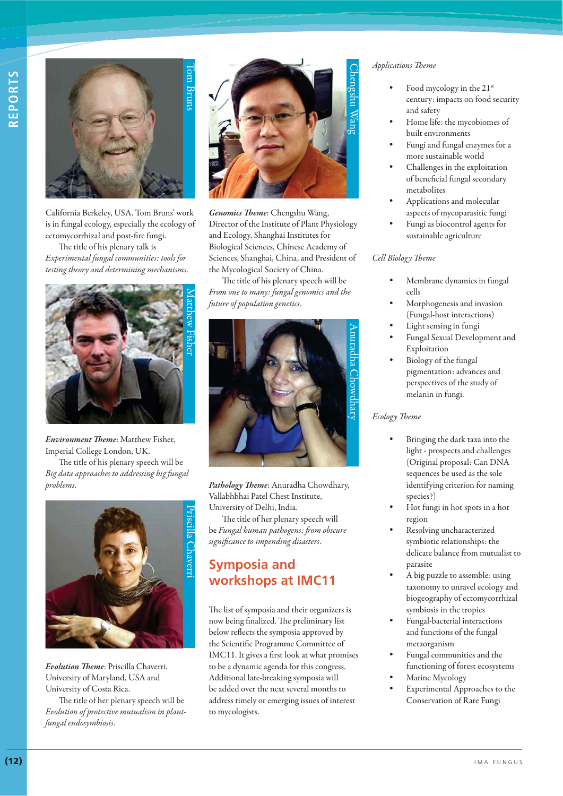

California Berkeley, USA. Tom Bruns' work is in fungal ecology, especially the ecology of ectomycorrhizal and post-fire fungi.

The title of his plenary talk is *Experimental fungal communities: tools for testing theory and determining mechanisms*.



*Environment Theme*: Matthew Fisher, Imperial College London, UK.

The title of his plenary speech will be *Big data approaches to addressing big fungal problems*.



*Evolution Theme*: Priscilla Chaverri, University of Maryland, USA and University of Costa Rica.

The title of her plenary speech will be *Evolution of protective mutualism in plantfungal endosymbiosis*.



*Genomics Theme*: Chengshu Wang, Director of the Institute of Plant Physiology and Ecology, Shanghai Institutes for Biological Sciences, Chinese Academy of Sciences, Shanghai, China, and President of the Mycological Society of China.

The title of his plenary speech will be *From one to many: fungal genomics and the future of population genetics*.



*Pathology Theme*: Anuradha Chowdhary, Vallabhbhai Patel Chest Institute, University of Delhi, India.

The title of her plenary speech will be *Fungal human pathogens: from obscure significance to impending disasters*.

### **Symposia and workshops at IMC11**

The list of symposia and their organizers is now being finalized. The preliminary list below reflects the symposia approved by the Scientific Programme Committee of IMC11. It gives a first look at what promises to be a dynamic agenda for this congress. Additional late-breaking symposia will be added over the next several months to address timely or emerging issues of interest to mycologists.

#### *Applications Theme*

- Food mycology in the 21<sup>st</sup> century: impacts on food security and safety
- Home life: the mycobiomes of built environments
- Fungi and fungal enzymes for a more sustainable world
- Challenges in the exploitation of beneficial fungal secondary metabolites
- Applications and molecular aspects of mycoparasitic fungi
- Fungi as biocontrol agents for sustainable agriculture

#### *Cell Biology Theme*

- Membrane dynamics in fungal cells
- Morphogenesis and invasion (Fungal-host interactions)
- Light sensing in fungi
- Fungal Sexual Development and Exploitation
- Biology of the fungal pigmentation: advances and perspectives of the study of melanin in fungi.

#### *Ecology Theme*

- Bringing the dark taxa into the light - prospects and challenges (Original proposal: Can DNA sequences be used as the sole identifying criterion for naming species?)
- Hot fungi in hot spots in a hot region
- Resolving uncharacterized symbiotic relationships: the delicate balance from mutualist to parasite
- A big puzzle to assemble: using taxonomy to unravel ecology and biogeography of ectomycorrhizal symbiosis in the tropics
- Fungal-bacterial interactions and functions of the fungal metaorganism
- Fungal communities and the functioning of forest ecosystems
- Marine Mycology
- Experimental Approaches to the Conservation of Rare Fungi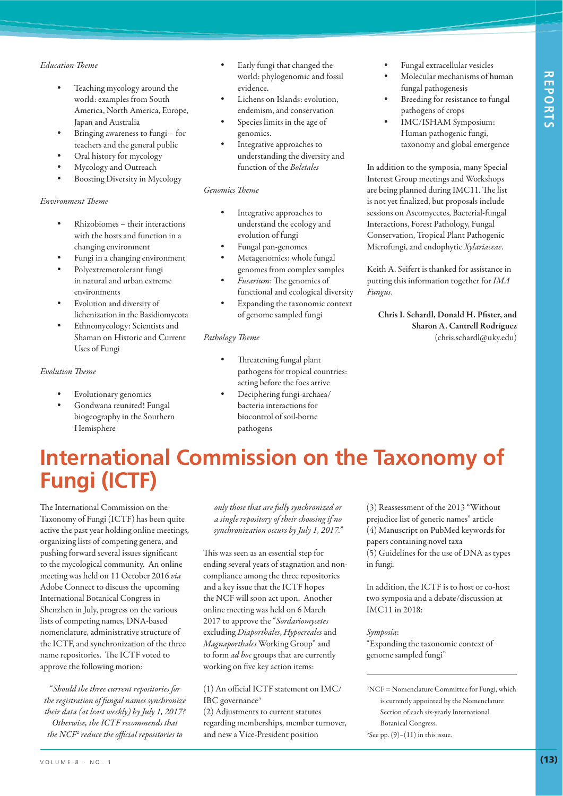#### *Education Theme*

- Teaching mycology around the world: examples from South America, North America, Europe, Japan and Australia
- Bringing awareness to fungi for teachers and the general public
- Oral history for mycology
- Mycology and Outreach
- Boosting Diversity in Mycology

#### *Environment Theme*

- Rhizobiomes their interactions with the hosts and function in a changing environment
- Fungi in a changing environment
- Polyextremotolerant fungi in natural and urban extreme environments
- Evolution and diversity of lichenization in the Basidiomycota
- Ethnomycology: Scientists and Shaman on Historic and Current Uses of Fungi

#### *Evolution Theme*

- Evolutionary genomics
- Gondwana reunited! Fungal biogeography in the Southern Hemisphere
- Early fungi that changed the world: phylogenomic and fossil evidence.
- Lichens on Islands: evolution, endemism, and conservation
- Species limits in the age of genomics.
- Integrative approaches to understanding the diversity and function of the *Boletales*

#### *Genomics Theme*

- Integrative approaches to understand the ecology and evolution of fungi
- Fungal pan-genomes
- Metagenomics: whole fungal genomes from complex samples
- % *Fusarium*: The genomics of functional and ecological diversity
- Expanding the taxonomic context of genome sampled fungi

#### *Pathology Theme*

- Threatening fungal plant pathogens for tropical countries: acting before the foes arrive
- Deciphering fungi-archaea/ bacteria interactions for biocontrol of soil-borne pathogens
- Fungal extracellular vesicles
- Molecular mechanisms of human fungal pathogenesis
- Breeding for resistance to fungal pathogens of crops
- IMC/ISHAM Symposium: Human pathogenic fungi, taxonomy and global emergence

In addition to the symposia, many Special Interest Group meetings and Workshops are being planned during IMC11. The list is not yet finalized, but proposals include sessions on Ascomycetes, Bacterial-fungal Interactions, Forest Pathology, Fungal Conservation, Tropical Plant Pathogenic Microfungi, and endophytic *Xylariaceae*.

Keith A. Seifert is thanked for assistance in putting this information together for *IMA Fungus*.

**Chris I. Schardl, Donald H. Pfister, and Sharon A. Cantrell Rodríguez** (chris.schardl@uky.edu)

# **International Commission on the Taxonomy of Fungi (ICTF)**

The International Commission on the Taxonomy of Fungi (ICTF) has been quite active the past year holding online meetings, organizing lists of competing genera, and pushing forward several issues significant to the mycological community. An online meeting was held on 11 October 2016 *via* Adobe Connect to discuss the upcoming International Botanical Congress in Shenzhen in July, progress on the various lists of competing names, DNA-based nomenclature, administrative structure of the ICTF, and synchronization of the three name repositories. The ICTF voted to approve the following motion:

"*Should the three current repositories for the registration of fungal names synchronize their data (at least weekly) by July 1, 2017? Otherwise, the ICTF recommends that the NCF*<sup>2</sup>  *reduce the official repositories to* 

*only those that are fully synchronized or a single repository of their choosing if no synchronization occurs by July 1, 2017."*

This was seen as an essential step for ending several years of stagnation and noncompliance among the three repositories and a key issue that the ICTF hopes the NCF will soon act upon. Another online meeting was held on 6 March 2017 to approve the "*Sordariomycetes* excluding *Diaporthales*, *Hypocreales* and *Magnaporthales* Working Group" and to form *ad hoc* groups that are currently working on five key action items:

(1) An official ICTF statement on IMC/ IBC governance<sup>3</sup>

(2) Adjustments to current statutes regarding memberships, member turnover, and new a Vice-President position

(3) Reassessment of the 2013 "Without prejudice list of generic names" article (4) Manuscript on PubMed keywords for papers containing novel taxa (5) Guidelines for the use of DNA as types in fungi.

In addition, the ICTF is to host or co-host two symposia and a debate/discussion at IMC11 in 2018:

*Symposia*:

"Expanding the taxonomic context of genome sampled fungi"

2 NCF = Nomenclature Committee for Fungi, which is currently appointed by the Nomenclature Section of each six-yearly International Botanical Congress.

 ${}^{3}$ See pp.  $(9)$ – $(11)$  in this issue.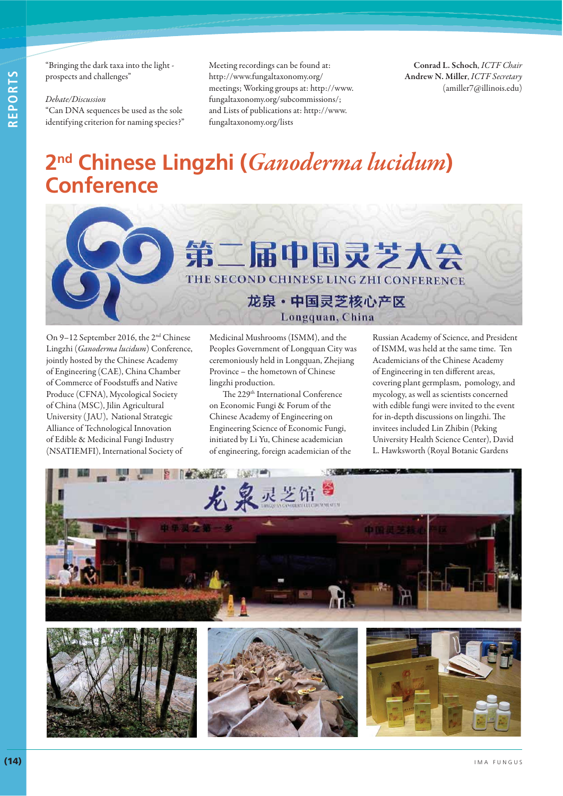"Bringing the dark taxa into the light prospects and challenges"

#### *Debate/Discussion*

"Can DNA sequences be used as the sole identifying criterion for naming species?" Meeting recordings can be found at: http://www.fungaltaxonomy.org/ meetings; Working groups at: http://www. fungaltaxonomy.org/subcommissions/; and Lists of publications at: http://www. fungaltaxonomy.org/lists

**Conrad L. Schoch**, *ICTF Chair* **Andrew N. Miller**, *ICTF Secretary* (amiller7@illinois.edu)

# **2nd Chinese Lingzhi (***Ganoderma lucidum***) Conference**



On 9–12 September 2016, the 2nd Chinese Lingzhi (*Ganoderma lucidum*) Conference, jointly hosted by the Chinese Academy of Engineering (CAE), China Chamber of Commerce of Foodstuffs and Native Produce (CFNA), Mycological Society of China (MSC), Jilin Agricultural University ( JAU), National Strategic Alliance of Technological Innovation of Edible & Medicinal Fungi Industry (NSATIEMFI), International Society of

Medicinal Mushrooms (ISMM), and the Peoples Government of Longquan City was ceremoniously held in Longquan, Zhejiang Province – the hometown of Chinese lingzhi production.

The 229<sup>th</sup> International Conference on Economic Fungi & Forum of the Chinese Academy of Engineering on Engineering Science of Economic Fungi, initiated by Li Yu, Chinese academician of engineering, foreign academician of the

Russian Academy of Science, and President of ISMM, was held at the same time. Ten Academicians of the Chinese Academy of Engineering in ten different areas, covering plant germplasm, pomology, and mycology, as well as scientists concerned with edible fungi were invited to the event for in-depth discussions on lingzhi. The invitees included Lin Zhibin (Peking University Health Science Center), David L. Hawksworth (Royal Botanic Gardens